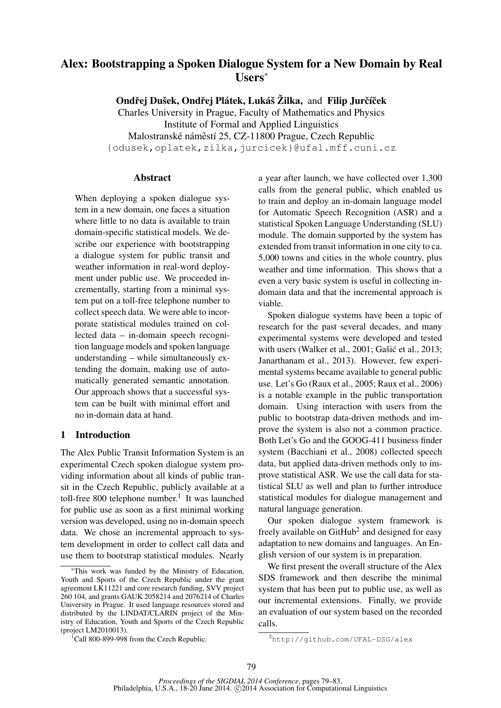# Alex: Bootstrapping a Spoken Dialogue System for a New Domain by Real Users<sup>∗</sup>

Ondřej Dušek, Ondřej Plátek, Lukáš Žilka, and Filip Jurčíček

Charles University in Prague, Faculty of Mathematics and Physics Institute of Formal and Applied Linguistics Malostranské náměstí 25, CZ-11800 Prague, Czech Republic {odusek,oplatek,zilka,jurcicek}@ufal.mff.cuni.cz

## Abstract

When deploying a spoken dialogue system in a new domain, one faces a situation where little to no data is available to train domain-specific statistical models. We describe our experience with bootstrapping a dialogue system for public transit and weather information in real-word deployment under public use. We proceeded incrementally, starting from a minimal system put on a toll-free telephone number to collect speech data. We were able to incorporate statistical modules trained on collected data – in-domain speech recognition language models and spoken language understanding – while simultaneously extending the domain, making use of automatically generated semantic annotation. Our approach shows that a successful system can be built with minimal effort and no in-domain data at hand.

# 1 Introduction

The Alex Public Transit Information System is an experimental Czech spoken dialogue system providing information about all kinds of public transit in the Czech Republic, publicly available at a toll-free 800 telephone number.<sup>1</sup> It was launched for public use as soon as a first minimal working version was developed, using no in-domain speech data. We chose an incremental approach to system development in order to collect call data and use them to bootstrap statistical modules. Nearly

 $1$ Call 800-899-998 from the Czech Republic.

a year after launch, we have collected over 1,300 calls from the general public, which enabled us to train and deploy an in-domain language model for Automatic Speech Recognition (ASR) and a statistical Spoken Language Understanding (SLU) module. The domain supported by the system has extended from transit information in one city to ca. 5,000 towns and cities in the whole country, plus weather and time information. This shows that a even a very basic system is useful in collecting indomain data and that the incremental approach is viable.

Spoken dialogue systems have been a topic of research for the past several decades, and many experimental systems were developed and tested with users (Walker et al., 2001; Gašić et al., 2013; Janarthanam et al., 2013). However, few experimental systems became available to general public use. Let's Go (Raux et al., 2005; Raux et al., 2006) is a notable example in the public transportation domain. Using interaction with users from the public to bootstrap data-driven methods and improve the system is also not a common practice. Both Let's Go and the GOOG-411 business finder system (Bacchiani et al., 2008) collected speech data, but applied data-driven methods only to improve statistical ASR. We use the call data for statistical SLU as well and plan to further introduce statistical modules for dialogue management and natural language generation.

Our spoken dialogue system framework is freely available on GitHub<sup>2</sup> and designed for easy adaptation to new domains and languages. An English version of our system is in preparation.

We first present the overall structure of the Alex SDS framework and then describe the minimal system that has been put to public use, as well as our incremental extensions. Finally, we provide an evaluation of our system based on the recorded calls.

<sup>∗</sup>This work was funded by the Ministry of Education, Youth and Sports of the Czech Republic under the grant agreement LK11221 and core research funding, SVV project 260 104, and grants GAUK 2058214 and 2076214 of Charles University in Prague. It used language resources stored and distributed by the LINDAT/CLARIN project of the Ministry of Education, Youth and Sports of the Czech Republic (project LM2010013).

<sup>2</sup>http://github.com/UFAL-DSG/alex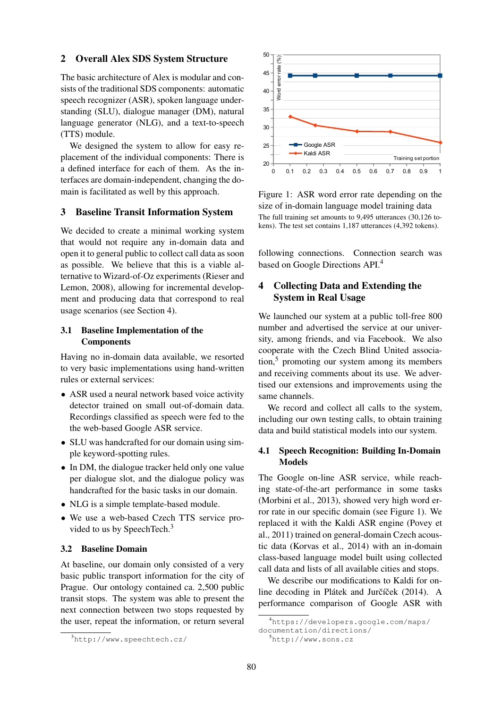### 2 Overall Alex SDS System Structure

The basic architecture of Alex is modular and consists of the traditional SDS components: automatic speech recognizer (ASR), spoken language understanding (SLU), dialogue manager (DM), natural language generator (NLG), and a text-to-speech (TTS) module.

We designed the system to allow for easy replacement of the individual components: There is a defined interface for each of them. As the interfaces are domain-independent, changing the domain is facilitated as well by this approach.

### 3 Baseline Transit Information System

We decided to create a minimal working system that would not require any in-domain data and open it to general public to collect call data as soon as possible. We believe that this is a viable alternative to Wizard-of-Oz experiments (Rieser and Lemon, 2008), allowing for incremental development and producing data that correspond to real usage scenarios (see Section 4).

# 3.1 Baseline Implementation of the **Components**

Having no in-domain data available, we resorted to very basic implementations using hand-written rules or external services:

- ASR used a neural network based voice activity detector trained on small out-of-domain data. Recordings classified as speech were fed to the the web-based Google ASR service.
- SLU was handcrafted for our domain using simple keyword-spotting rules.
- In DM, the dialogue tracker held only one value per dialogue slot, and the dialogue policy was handcrafted for the basic tasks in our domain.
- NLG is a simple template-based module.
- We use a web-based Czech TTS service provided to us by SpeechTech.<sup>3</sup>

# 3.2 Baseline Domain

At baseline, our domain only consisted of a very basic public transport information for the city of Prague. Our ontology contained ca. 2,500 public transit stops. The system was able to present the next connection between two stops requested by the user, repeat the information, or return several





Figure 1: ASR word error rate depending on the size of in-domain language model training data The full training set amounts to 9,495 utterances (30,126 tokens). The test set contains 1,187 utterances (4,392 tokens).

following connections. Connection search was based on Google Directions API.<sup>4</sup>

# 4 Collecting Data and Extending the System in Real Usage

We launched our system at a public toll-free 800 number and advertised the service at our university, among friends, and via Facebook. We also cooperate with the Czech Blind United association,<sup>5</sup> promoting our system among its members and receiving comments about its use. We advertised our extensions and improvements using the same channels.

We record and collect all calls to the system, including our own testing calls, to obtain training data and build statistical models into our system.

# 4.1 Speech Recognition: Building In-Domain Models

The Google on-line ASR service, while reaching state-of-the-art performance in some tasks (Morbini et al., 2013), showed very high word error rate in our specific domain (see Figure 1). We replaced it with the Kaldi ASR engine (Povey et al., 2011) trained on general-domain Czech acoustic data (Korvas et al., 2014) with an in-domain class-based language model built using collected call data and lists of all available cities and stops.

We describe our modifications to Kaldi for online decoding in Plátek and Jurčíček (2014). A performance comparison of Google ASR with

<sup>4</sup>https://developers.google.com/maps/

documentation/directions/ <sup>5</sup>http://www.sons.cz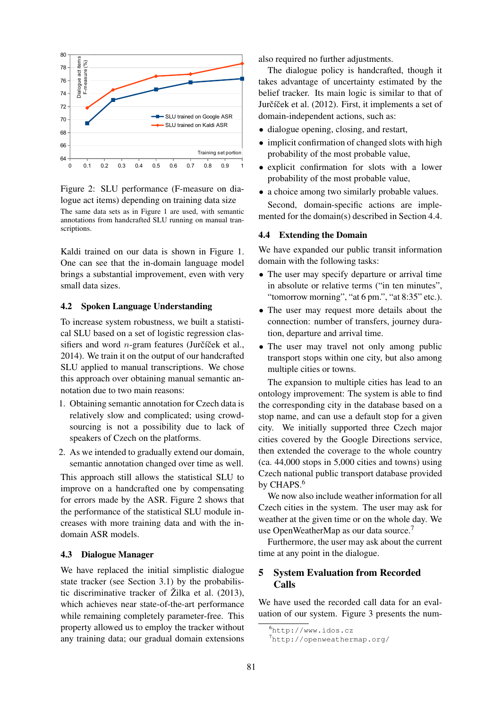

Figure 2: SLU performance (F-measure on dialogue act items) depending on training data size

The same data sets as in Figure 1 are used, with semantic annotations from handcrafted SLU running on manual transcriptions.

Kaldi trained on our data is shown in Figure 1. One can see that the in-domain language model brings a substantial improvement, even with very small data sizes.

### 4.2 Spoken Language Understanding

To increase system robustness, we built a statistical SLU based on a set of logistic regression classifiers and word *n*-gram features (Jurčíček et al., 2014). We train it on the output of our handcrafted SLU applied to manual transcriptions. We chose this approach over obtaining manual semantic annotation due to two main reasons:

- 1. Obtaining semantic annotation for Czech data is relatively slow and complicated; using crowdsourcing is not a possibility due to lack of speakers of Czech on the platforms.
- 2. As we intended to gradually extend our domain, semantic annotation changed over time as well.

This approach still allows the statistical SLU to improve on a handcrafted one by compensating for errors made by the ASR. Figure 2 shows that the performance of the statistical SLU module increases with more training data and with the indomain ASR models.

#### 4.3 Dialogue Manager

We have replaced the initial simplistic dialogue state tracker (see Section 3.1) by the probabilistic discriminative tracker of Žilka et al. (2013), which achieves near state-of-the-art performance while remaining completely parameter-free. This property allowed us to employ the tracker without any training data; our gradual domain extensions also required no further adjustments.

The dialogue policy is handcrafted, though it takes advantage of uncertainty estimated by the belief tracker. Its main logic is similar to that of Jurčíček et al. (2012). First, it implements a set of domain-independent actions, such as:

- dialogue opening, closing, and restart,
- implicit confirmation of changed slots with high probability of the most probable value,
- explicit confirmation for slots with a lower probability of the most probable value,
- a choice among two similarly probable values.

Second, domain-specific actions are implemented for the domain(s) described in Section 4.4.

## 4.4 Extending the Domain

We have expanded our public transit information domain with the following tasks:

- The user may specify departure or arrival time in absolute or relative terms ("in ten minutes", "tomorrow morning", "at 6 pm.", "at 8:35" etc.).
- The user may request more details about the connection: number of transfers, journey duration, departure and arrival time.
- The user may travel not only among public transport stops within one city, but also among multiple cities or towns.

The expansion to multiple cities has lead to an ontology improvement: The system is able to find the corresponding city in the database based on a stop name, and can use a default stop for a given city. We initially supported three Czech major cities covered by the Google Directions service, then extended the coverage to the whole country (ca. 44,000 stops in 5,000 cities and towns) using Czech national public transport database provided by CHAPS.<sup>6</sup>

We now also include weather information for all Czech cities in the system. The user may ask for weather at the given time or on the whole day. We use OpenWeatherMap as our data source.<sup>7</sup>

Furthermore, the user may ask about the current time at any point in the dialogue.

# 5 System Evaluation from Recorded Calls

We have used the recorded call data for an evaluation of our system. Figure 3 presents the num-

<sup>6</sup>http://www.idos.cz

<sup>7</sup>http://openweathermap.org/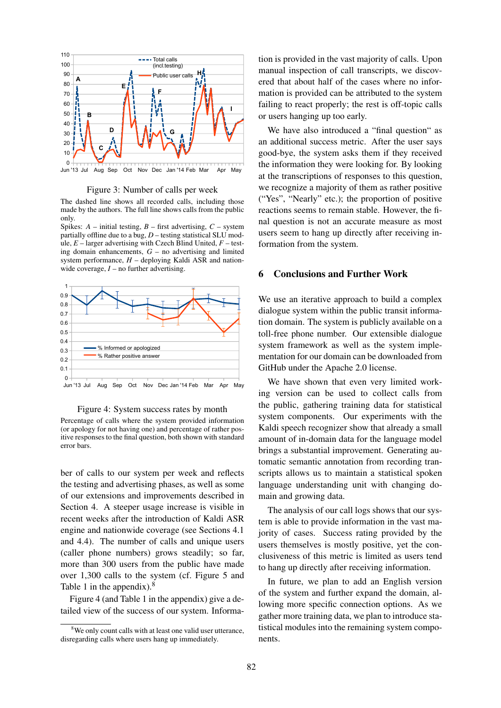

#### Figure 3: Number of calls per week

The dashed line shows all recorded calls, including those made by the authors. The full line shows calls from the public only.

Spikes:  $A$  – initial testing,  $B$  – first advertising,  $C$  – system partially offline due to a bug, *D* – testing statistical SLU module, *E* – larger advertising with Czech Blind United, *F* – testing domain enhancements, *G* – no advertising and limited system performance,  $H$  – deploying Kaldi ASR and nationwide coverage,  $I$  – no further advertising.



#### Figure 4: System success rates by month

Percentage of calls where the system provided information (or apology for not having one) and percentage of rather positive responses to the final question, both shown with standard error bars.

ber of calls to our system per week and reflects the testing and advertising phases, as well as some of our extensions and improvements described in Section 4. A steeper usage increase is visible in recent weeks after the introduction of Kaldi ASR engine and nationwide coverage (see Sections 4.1 and 4.4). The number of calls and unique users (caller phone numbers) grows steadily; so far, more than 300 users from the public have made over 1,300 calls to the system (cf. Figure 5 and Table 1 in the appendix).<sup>8</sup>

Figure 4 (and Table 1 in the appendix) give a detailed view of the success of our system. Information is provided in the vast majority of calls. Upon manual inspection of call transcripts, we discovered that about half of the cases where no information is provided can be attributed to the system failing to react properly; the rest is off-topic calls or users hanging up too early.

We have also introduced a "final question" as an additional success metric. After the user says good-bye, the system asks them if they received the information they were looking for. By looking at the transcriptions of responses to this question, we recognize a majority of them as rather positive ("Yes", "Nearly" etc.); the proportion of positive reactions seems to remain stable. However, the final question is not an accurate measure as most users seem to hang up directly after receiving information from the system.

## 6 Conclusions and Further Work

We use an iterative approach to build a complex dialogue system within the public transit information domain. The system is publicly available on a toll-free phone number. Our extensible dialogue system framework as well as the system implementation for our domain can be downloaded from GitHub under the Apache 2.0 license.

We have shown that even very limited working version can be used to collect calls from the public, gathering training data for statistical system components. Our experiments with the Kaldi speech recognizer show that already a small amount of in-domain data for the language model brings a substantial improvement. Generating automatic semantic annotation from recording transcripts allows us to maintain a statistical spoken language understanding unit with changing domain and growing data.

The analysis of our call logs shows that our system is able to provide information in the vast majority of cases. Success rating provided by the users themselves is mostly positive, yet the conclusiveness of this metric is limited as users tend to hang up directly after receiving information.

In future, we plan to add an English version of the system and further expand the domain, allowing more specific connection options. As we gather more training data, we plan to introduce statistical modules into the remaining system components.

<sup>&</sup>lt;sup>8</sup>We only count calls with at least one valid user utterance. disregarding calls where users hang up immediately.